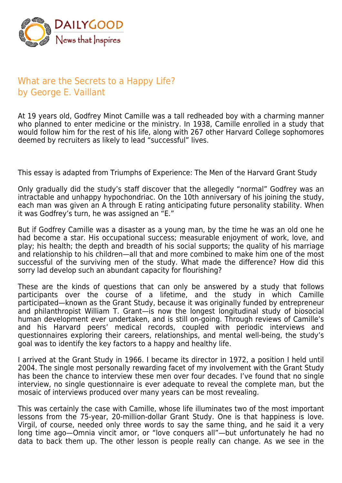

## What are the Secrets to a Happy Life? by George E. Vaillant

At 19 years old, Godfrey Minot Camille was a tall redheaded boy with a charming manner who planned to enter medicine or the ministry. In 1938, Camille enrolled in a study that would follow him for the rest of his life, along with 267 other Harvard College sophomores deemed by recruiters as likely to lead "successful" lives.

This essay is adapted from Triumphs of Experience: The Men of the Harvard Grant Study

Only gradually did the study's staff discover that the allegedly "normal" Godfrey was an intractable and unhappy hypochondriac. On the 10th anniversary of his joining the study, each man was given an A through E rating anticipating future personality stability. When it was Godfrey's turn, he was assigned an "E."

But if Godfrey Camille was a disaster as a young man, by the time he was an old one he had become a star. His occupational success; measurable enjoyment of work, love, and play; his health; the depth and breadth of his social supports; the quality of his marriage and relationship to his children—all that and more combined to make him one of the most successful of the surviving men of the study. What made the difference? How did this sorry lad develop such an abundant capacity for flourishing?

These are the kinds of questions that can only be answered by a study that follows participants over the course of a lifetime, and the study in which Camille participated—known as the Grant Study, because it was originally funded by entrepreneur and philanthropist William T. Grant—is now the longest longitudinal study of biosocial human development ever undertaken, and is still on-going. Through reviews of Camille's and his Harvard peers' medical records, coupled with periodic interviews and questionnaires exploring their careers, relationships, and mental well-being, the study's goal was to identify the key factors to a happy and healthy life.

I arrived at the Grant Study in 1966. I became its director in 1972, a position I held until 2004. The single most personally rewarding facet of my involvement with the Grant Study has been the chance to interview these men over four decades. I've found that no single interview, no single questionnaire is ever adequate to reveal the complete man, but the mosaic of interviews produced over many years can be most revealing.

This was certainly the case with Camille, whose life illuminates two of the most important lessons from the 75-year, 20-million-dollar Grant Study. One is that happiness is love. Virgil, of course, needed only three words to say the same thing, and he said it a very long time ago—Omnia vincit amor, or "love conquers all"—but unfortunately he had no data to back them up. The other lesson is people really can change. As we see in the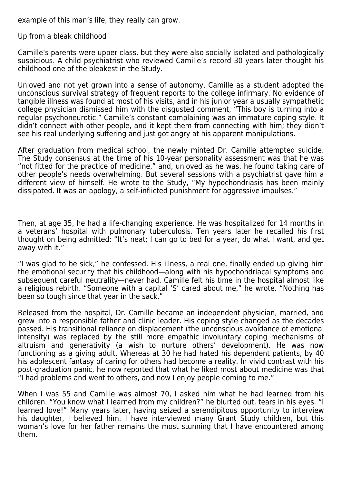example of this man's life, they really can grow.

Up from a bleak childhood

Camille's parents were upper class, but they were also socially isolated and pathologically suspicious. A child psychiatrist who reviewed Camille's record 30 years later thought his childhood one of the bleakest in the Study.

Unloved and not yet grown into a sense of autonomy, Camille as a student adopted the unconscious survival strategy of frequent reports to the college infirmary. No evidence of tangible illness was found at most of his visits, and in his junior year a usually sympathetic college physician dismissed him with the disgusted comment, "This boy is turning into a regular psychoneurotic." Camille's constant complaining was an immature coping style. It didn't connect with other people, and it kept them from connecting with him; they didn't see his real underlying suffering and just got angry at his apparent manipulations.

After graduation from medical school, the newly minted Dr. Camille attempted suicide. The Study consensus at the time of his 10-year personality assessment was that he was "not fitted for the practice of medicine," and, unloved as he was, he found taking care of other people's needs overwhelming. But several sessions with a psychiatrist gave him a different view of himself. He wrote to the Study, "My hypochondriasis has been mainly dissipated. It was an apology, a self-inflicted punishment for aggressive impulses."

Then, at age 35, he had a life-changing experience. He was hospitalized for 14 months in a veterans' hospital with pulmonary tuberculosis. Ten years later he recalled his first thought on being admitted: "It's neat; I can go to bed for a year, do what I want, and get away with it."

"I was glad to be sick," he confessed. His illness, a real one, finally ended up giving him the emotional security that his childhood—along with his hypochondriacal symptoms and subsequent careful neutrality—never had. Camille felt his time in the hospital almost like a religious rebirth. "Someone with a capital 'S' cared about me," he wrote. "Nothing has been so tough since that year in the sack."

Released from the hospital, Dr. Camille became an independent physician, married, and grew into a responsible father and clinic leader. His coping style changed as the decades passed. His transitional reliance on displacement (the unconscious avoidance of emotional intensity) was replaced by the still more empathic involuntary coping mechanisms of altruism and generativity (a wish to nurture others' development). He was now functioning as a giving adult. Whereas at 30 he had hated his dependent patients, by 40 his adolescent fantasy of caring for others had become a reality. In vivid contrast with his post-graduation panic, he now reported that what he liked most about medicine was that "I had problems and went to others, and now I enjoy people coming to me."

When I was 55 and Camille was almost 70, I asked him what he had learned from his children. "You know what I learned from my children?" he blurted out, tears in his eyes. "I learned love!" Many years later, having seized a serendipitous opportunity to interview his daughter, I believed him. I have interviewed many Grant Study children, but this woman's love for her father remains the most stunning that I have encountered among them.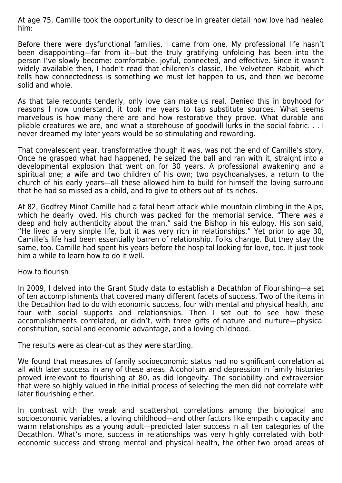At age 75, Camille took the opportunity to describe in greater detail how love had healed him:

Before there were dysfunctional families, I came from one. My professional life hasn't been disappointing—far from it—but the truly gratifying unfolding has been into the person I've slowly become: comfortable, joyful, connected, and effective. Since it wasn't widely available then, I hadn't read that children's classic, The Velveteen Rabbit, which tells how connectedness is something we must let happen to us, and then we become solid and whole.

As that tale recounts tenderly, only love can make us real. Denied this in boyhood for reasons I now understand, it took me years to tap substitute sources. What seems marvelous is how many there are and how restorative they prove. What durable and pliable creatures we are, and what a storehouse of goodwill lurks in the social fabric. . . I never dreamed my later years would be so stimulating and rewarding.

That convalescent year, transformative though it was, was not the end of Camille's story. Once he grasped what had happened, he seized the ball and ran with it, straight into a developmental explosion that went on for 30 years. A professional awakening and a spiritual one; a wife and two children of his own; two psychoanalyses, a return to the church of his early years—all these allowed him to build for himself the loving surround that he had so missed as a child, and to give to others out of its riches.

At 82, Godfrey Minot Camille had a fatal heart attack while mountain climbing in the Alps, which he dearly loved. His church was packed for the memorial service. "There was a deep and holy authenticity about the man," said the Bishop in his eulogy. His son said, "He lived a very simple life, but it was very rich in relationships." Yet prior to age 30, Camille's life had been essentially barren of relationship. Folks change. But they stay the same, too. Camille had spent his years before the hospital looking for love, too. It just took him a while to learn how to do it well.

## How to flourish

In 2009, I delved into the Grant Study data to establish a Decathlon of Flourishing—a set of ten accomplishments that covered many different facets of success. Two of the items in the Decathlon had to do with economic success, four with mental and physical health, and four with social supports and relationships. Then I set out to see how these accomplishments correlated, or didn't, with three gifts of nature and nurture—physical constitution, social and economic advantage, and a loving childhood.

The results were as clear-cut as they were startling.

We found that measures of family socioeconomic status had no significant correlation at all with later success in any of these areas. Alcoholism and depression in family histories proved irrelevant to flourishing at 80, as did longevity. The sociability and extraversion that were so highly valued in the initial process of selecting the men did not correlate with later flourishing either.

In contrast with the weak and scattershot correlations among the biological and socioeconomic variables, a loving childhood—and other factors like empathic capacity and warm relationships as a young adult—predicted later success in all ten categories of the Decathlon. What's more, success in relationships was very highly correlated with both economic success and strong mental and physical health, the other two broad areas of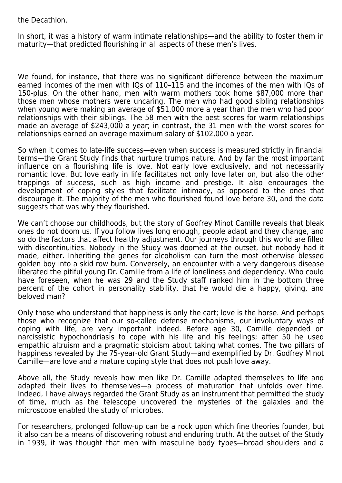the Decathlon.

In short, it was a history of warm intimate relationships—and the ability to foster them in maturity—that predicted flourishing in all aspects of these men's lives.

We found, for instance, that there was no significant difference between the maximum earned incomes of the men with IQs of 110–115 and the incomes of the men with IQs of 150-plus. On the other hand, men with warm mothers took home \$87,000 more than those men whose mothers were uncaring. The men who had good sibling relationships when young were making an average of \$51,000 more a year than the men who had poor relationships with their siblings. The 58 men with the best scores for warm relationships made an average of \$243,000 a year; in contrast, the 31 men with the worst scores for relationships earned an average maximum salary of \$102,000 a year.

So when it comes to late-life success—even when success is measured strictly in financial terms—the Grant Study finds that nurture trumps nature. And by far the most important influence on a flourishing life is love. Not early love exclusively, and not necessarily romantic love. But love early in life facilitates not only love later on, but also the other trappings of success, such as high income and prestige. It also encourages the development of coping styles that facilitate intimacy, as opposed to the ones that discourage it. The majority of the men who flourished found love before 30, and the data suggests that was why they flourished.

We can't choose our childhoods, but the story of Godfrey Minot Camille reveals that bleak ones do not doom us. If you follow lives long enough, people adapt and they change, and so do the factors that affect healthy adjustment. Our journeys through this world are filled with discontinuities. Nobody in the Study was doomed at the outset, but nobody had it made, either. Inheriting the genes for alcoholism can turn the most otherwise blessed golden boy into a skid row bum. Conversely, an encounter with a very dangerous disease liberated the pitiful young Dr. Camille from a life of loneliness and dependency. Who could have foreseen, when he was 29 and the Study staff ranked him in the bottom three percent of the cohort in personality stability, that he would die a happy, giving, and beloved man?

Only those who understand that happiness is only the cart; love is the horse. And perhaps those who recognize that our so-called defense mechanisms, our involuntary ways of coping with life, are very important indeed. Before age 30, Camille depended on narcissistic hypochondriasis to cope with his life and his feelings; after 50 he used empathic altruism and a pragmatic stoicism about taking what comes. The two pillars of happiness revealed by the 75-year-old Grant Study—and exemplified by Dr. Godfrey Minot Camille—are love and a mature coping style that does not push love away.

Above all, the Study reveals how men like Dr. Camille adapted themselves to life and adapted their lives to themselves—a process of maturation that unfolds over time. Indeed, I have always regarded the Grant Study as an instrument that permitted the study of time, much as the telescope uncovered the mysteries of the galaxies and the microscope enabled the study of microbes.

For researchers, prolonged follow-up can be a rock upon which fine theories founder, but it also can be a means of discovering robust and enduring truth. At the outset of the Study in 1939, it was thought that men with masculine body types—broad shoulders and a